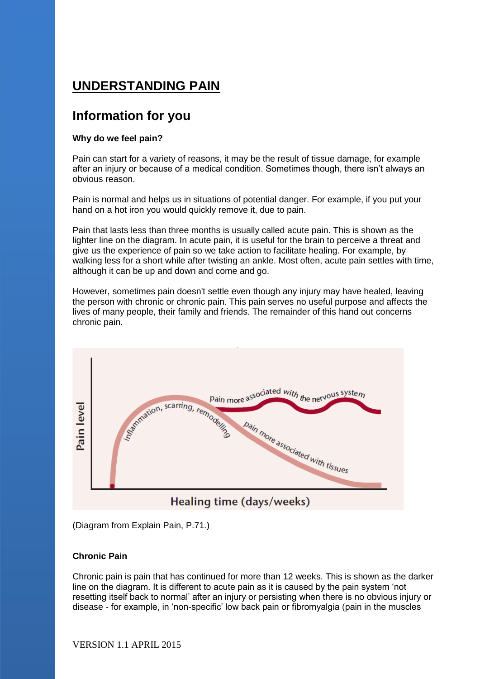# **UNDERSTANDING PAIN**

## **Information for you**

### **Why do we feel pain?**

Pain can start for a variety of reasons, it may be the result of tissue damage, for example after an injury or because of a medical condition. Sometimes though, there isn't always an obvious reason.

Pain is normal and helps us in situations of potential danger. For example, if you put your hand on a hot iron you would quickly remove it, due to pain.

Pain that lasts less than three months is usually called acute pain. This is shown as the lighter line on the diagram. In acute pain, it is useful for the brain to perceive a threat and give us the experience of pain so we take action to facilitate healing. For example, by walking less for a short while after twisting an ankle. Most often, acute pain settles with time, although it can be up and down and come and go.

However, sometimes pain doesn't settle even though any injury may have healed, leaving the person with chronic or chronic pain. This pain serves no useful purpose and affects the lives of many people, their family and friends. The remainder of this hand out concerns chronic pain.



(Diagram from Explain Pain, P.71.)

#### **Chronic Pain**

Chronic pain is pain that has continued for more than 12 weeks. This is shown as the darker line on the diagram. It is different to acute pain as it is caused by the pain system 'not resetting itself back to normal' after an injury or persisting when there is no obvious injury or disease - for example, in 'non-specific' low back pain or fibromyalgia (pain in the muscles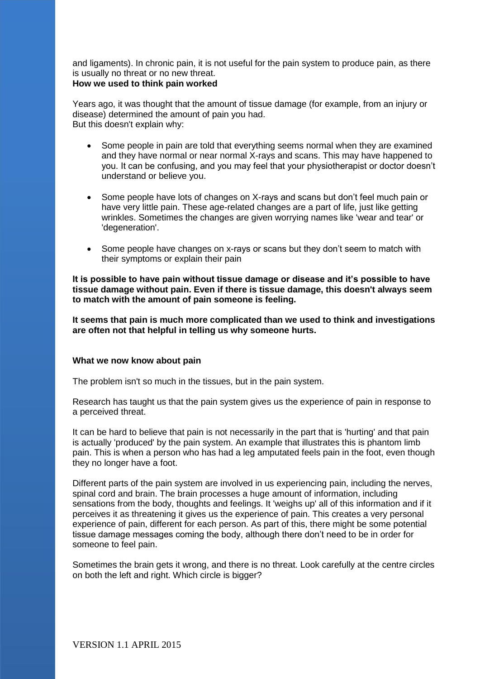and ligaments). In chronic pain, it is not useful for the pain system to produce pain, as there is usually no threat or no new threat.

#### **How we used to think pain worked**

Years ago, it was thought that the amount of tissue damage (for example, from an injury or disease) determined the amount of pain you had. But this doesn't explain why:

- Some people in pain are told that everything seems normal when they are examined and they have normal or near normal X-rays and scans. This may have happened to you. It can be confusing, and you may feel that your physiotherapist or doctor doesn't understand or believe you.
- Some people have lots of changes on X-rays and scans but don't feel much pain or have very little pain. These age-related changes are a part of life, just like getting wrinkles. Sometimes the changes are given worrying names like 'wear and tear' or 'degeneration'.
- Some people have changes on x-rays or scans but they don't seem to match with their symptoms or explain their pain

**It is possible to have pain without tissue damage or disease and it's possible to have tissue damage without pain. Even if there is tissue damage, this doesn't always seem to match with the amount of pain someone is feeling.** 

**It seems that pain is much more complicated than we used to think and investigations are often not that helpful in telling us why someone hurts.**

#### **What we now know about pain**

The problem isn't so much in the tissues, but in the pain system.

Research has taught us that the pain system gives us the experience of pain in response to a perceived threat.

It can be hard to believe that pain is not necessarily in the part that is 'hurting' and that pain is actually 'produced' by the pain system. An example that illustrates this is phantom limb pain. This is when a person who has had a leg amputated feels pain in the foot, even though they no longer have a foot.

Different parts of the pain system are involved in us experiencing pain, including the nerves, spinal cord and brain. The brain processes a huge amount of information, including sensations from the body, thoughts and feelings. It 'weighs up' all of this information and if it perceives it as threatening it gives us the experience of pain. This creates a very personal experience of pain, different for each person. As part of this, there might be some potential tissue damage messages coming the body, although there don't need to be in order for someone to feel pain.

Sometimes the brain gets it wrong, and there is no threat. Look carefully at the centre circles on both the left and right. Which circle is bigger?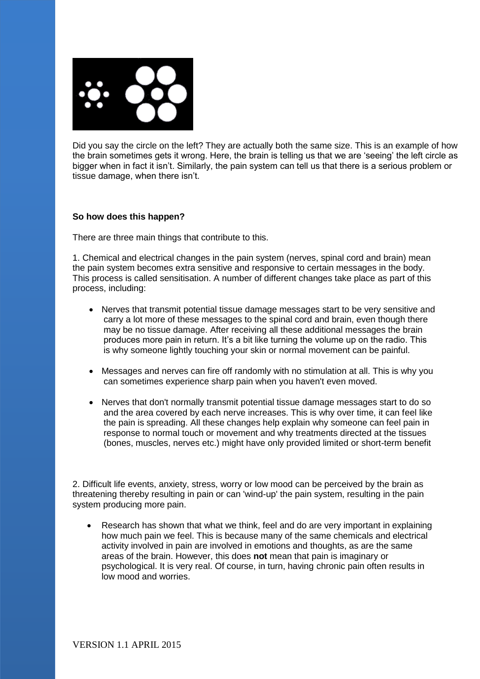

Did you say the circle on the left? They are actually both the same size. This is an example of how the brain sometimes gets it wrong. Here, the brain is telling us that we are 'seeing' the left circle as bigger when in fact it isn't. Similarly, the pain system can tell us that there is a serious problem or tissue damage, when there isn't.

#### **So how does this happen?**

There are three main things that contribute to this.

1. Chemical and electrical changes in the pain system (nerves, spinal cord and brain) mean the pain system becomes extra sensitive and responsive to certain messages in the body. This process is called sensitisation. A number of different changes take place as part of this process, including:

- Nerves that transmit potential tissue damage messages start to be very sensitive and carry a lot more of these messages to the spinal cord and brain, even though there may be no tissue damage. After receiving all these additional messages the brain produces more pain in return. It's a bit like turning the volume up on the radio. This is why someone lightly touching your skin or normal movement can be painful.
- Messages and nerves can fire off randomly with no stimulation at all. This is why you can sometimes experience sharp pain when you haven't even moved.
- Nerves that don't normally transmit potential tissue damage messages start to do so and the area covered by each nerve increases. This is why over time, it can feel like the pain is spreading. All these changes help explain why someone can feel pain in response to normal touch or movement and why treatments directed at the tissues (bones, muscles, nerves etc.) might have only provided limited or short-term benefit

2. Difficult life events, anxiety, stress, worry or low mood can be perceived by the brain as threatening thereby resulting in pain or can 'wind-up' the pain system, resulting in the pain system producing more pain.

 Research has shown that what we think, feel and do are very important in explaining how much pain we feel. This is because many of the same chemicals and electrical activity involved in pain are involved in emotions and thoughts, as are the same areas of the brain. However, this does **not** mean that pain is imaginary or psychological. It is very real. Of course, in turn, having chronic pain often results in low mood and worries.